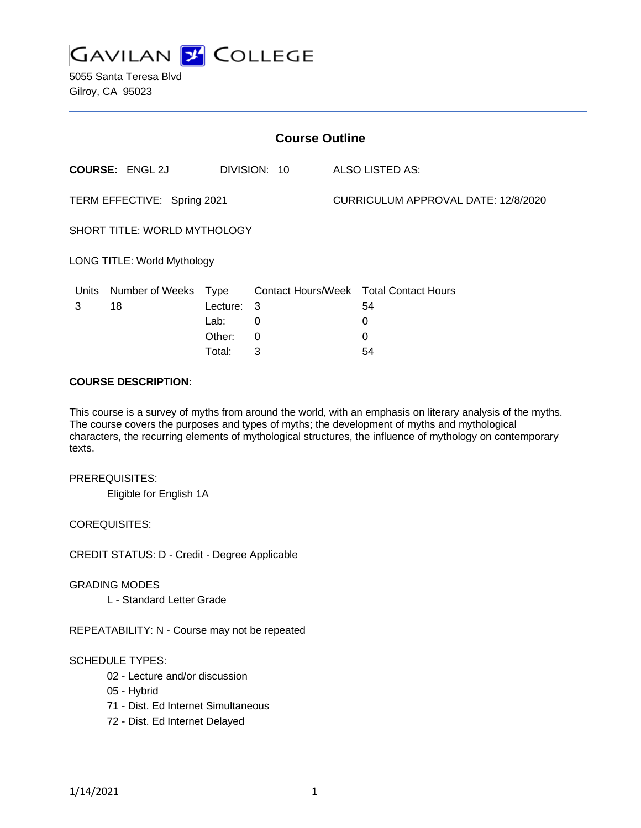

5055 Santa Teresa Blvd Gilroy, CA 95023

| <b>Course Outline</b>              |                 |              |                 |                                     |                                        |
|------------------------------------|-----------------|--------------|-----------------|-------------------------------------|----------------------------------------|
| <b>COURSE: ENGL 2J</b>             |                 | DIVISION: 10 | ALSO LISTED AS: |                                     |                                        |
| TERM EFFECTIVE: Spring 2021        |                 |              |                 | CURRICULUM APPROVAL DATE: 12/8/2020 |                                        |
| SHORT TITLE: WORLD MYTHOLOGY       |                 |              |                 |                                     |                                        |
| <b>LONG TITLE: World Mythology</b> |                 |              |                 |                                     |                                        |
| <u>Units</u>                       | Number of Weeks | <u>Type</u>  |                 |                                     | Contact Hours/Week Total Contact Hours |
| 3                                  | 18              | Lecture:     | 3               |                                     | 54                                     |
|                                    |                 | Lab:         | 0               |                                     | 0                                      |
|                                    |                 | Other:       | 0               |                                     | $\Omega$                               |
|                                    |                 | Total:       | 3               |                                     | 54                                     |

#### **COURSE DESCRIPTION:**

This course is a survey of myths from around the world, with an emphasis on literary analysis of the myths. The course covers the purposes and types of myths; the development of myths and mythological characters, the recurring elements of mythological structures, the influence of mythology on contemporary texts.

#### PREREQUISITES:

Eligible for English 1A

#### COREQUISITES:

CREDIT STATUS: D - Credit - Degree Applicable

#### GRADING MODES

L - Standard Letter Grade

REPEATABILITY: N - Course may not be repeated

#### SCHEDULE TYPES:

- 02 Lecture and/or discussion
- 05 Hybrid
- 71 Dist. Ed Internet Simultaneous
- 72 Dist. Ed Internet Delayed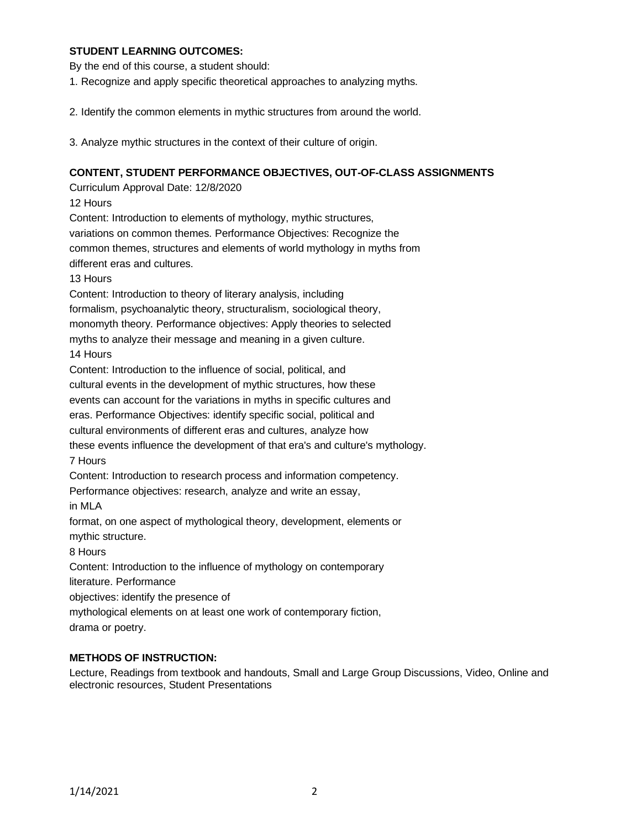## **STUDENT LEARNING OUTCOMES:**

By the end of this course, a student should:

1. Recognize and apply specific theoretical approaches to analyzing myths.

2. Identify the common elements in mythic structures from around the world.

3. Analyze mythic structures in the context of their culture of origin.

## **CONTENT, STUDENT PERFORMANCE OBJECTIVES, OUT-OF-CLASS ASSIGNMENTS**

Curriculum Approval Date: 12/8/2020

12 Hours

Content: Introduction to elements of mythology, mythic structures,

variations on common themes. Performance Objectives: Recognize the

common themes, structures and elements of world mythology in myths from

different eras and cultures.

13 Hours

Content: Introduction to theory of literary analysis, including formalism, psychoanalytic theory, structuralism, sociological theory, monomyth theory. Performance objectives: Apply theories to selected myths to analyze their message and meaning in a given culture. 14 Hours

Content: Introduction to the influence of social, political, and

cultural events in the development of mythic structures, how these

events can account for the variations in myths in specific cultures and

eras. Performance Objectives: identify specific social, political and

cultural environments of different eras and cultures, analyze how

these events influence the development of that era's and culture's mythology. 7 Hours

Content: Introduction to research process and information competency.

Performance objectives: research, analyze and write an essay,

in MLA

format, on one aspect of mythological theory, development, elements or mythic structure.

8 Hours

Content: Introduction to the influence of mythology on contemporary

literature. Performance

objectives: identify the presence of

mythological elements on at least one work of contemporary fiction,

drama or poetry.

## **METHODS OF INSTRUCTION:**

Lecture, Readings from textbook and handouts, Small and Large Group Discussions, Video, Online and electronic resources, Student Presentations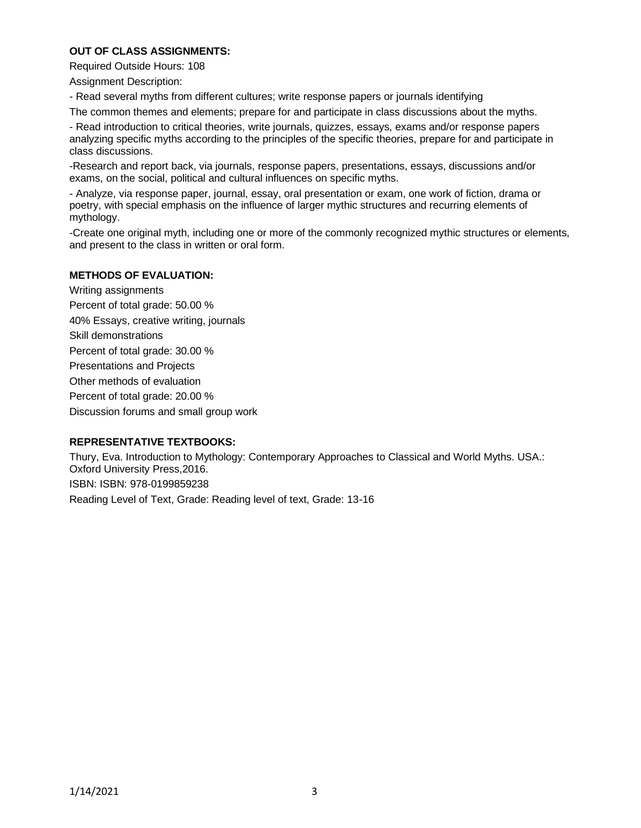# **OUT OF CLASS ASSIGNMENTS:**

Required Outside Hours: 108

Assignment Description:

- Read several myths from different cultures; write response papers or journals identifying

The common themes and elements; prepare for and participate in class discussions about the myths.

- Read introduction to critical theories, write journals, quizzes, essays, exams and/or response papers analyzing specific myths according to the principles of the specific theories, prepare for and participate in class discussions.

-Research and report back, via journals, response papers, presentations, essays, discussions and/or exams, on the social, political and cultural influences on specific myths.

- Analyze, via response paper, journal, essay, oral presentation or exam, one work of fiction, drama or poetry, with special emphasis on the influence of larger mythic structures and recurring elements of mythology.

-Create one original myth, including one or more of the commonly recognized mythic structures or elements, and present to the class in written or oral form.

# **METHODS OF EVALUATION:**

Writing assignments Percent of total grade: 50.00 % 40% Essays, creative writing, journals Skill demonstrations Percent of total grade: 30.00 % Presentations and Projects Other methods of evaluation Percent of total grade: 20.00 % Discussion forums and small group work

## **REPRESENTATIVE TEXTBOOKS:**

Thury, Eva. Introduction to Mythology: Contemporary Approaches to Classical and World Myths. USA.: Oxford University Press,2016. ISBN: ISBN: 978-0199859238 Reading Level of Text, Grade: Reading level of text, Grade: 13-16